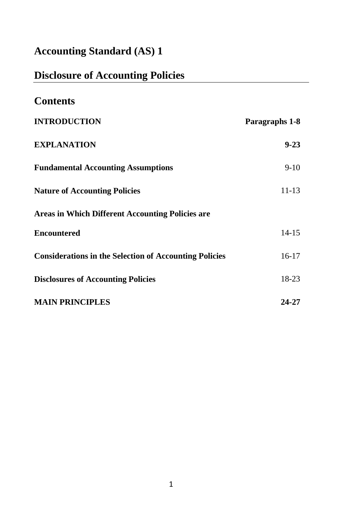# **Accounting Standard (AS) 1**

# **Disclosure of Accounting Policies**

| <b>Contents</b>                                               |                |
|---------------------------------------------------------------|----------------|
| <b>INTRODUCTION</b>                                           | Paragraphs 1-8 |
| <b>EXPLANATION</b>                                            | $9 - 23$       |
| <b>Fundamental Accounting Assumptions</b>                     | $9-10$         |
| <b>Nature of Accounting Policies</b>                          | 11-13          |
| <b>Areas in Which Different Accounting Policies are</b>       |                |
| <b>Encountered</b>                                            | $14 - 15$      |
| <b>Considerations in the Selection of Accounting Policies</b> | $16-17$        |
| <b>Disclosures of Accounting Policies</b>                     | 18-23          |
| <b>MAIN PRINCIPLES</b>                                        | 24-27          |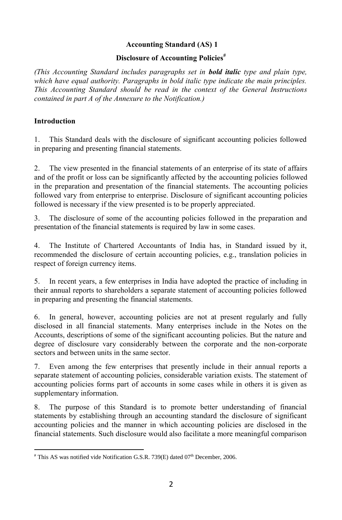# **Accounting Standard (AS) 1**

#### **Disclosure of Accounting Policies#**

*(This Accounting Standard includes paragraphs set in bold italic type and plain type, which have equal authority. Paragraphs in bold italic type indicate the main principles. This Accounting Standard should be read in the context of the General Instructions contained in part A of the Annexure to the Notification.)*

## **Introduction**

1. This Standard deals with the disclosure of significant accounting policies followed in preparing and presenting financial statements.

2. The view presented in the financial statements of an enterprise of its state of affairs and of the profit or loss can be significantly affected by the accounting policies followed in the preparation and presentation of the financial statements. The accounting policies followed vary from enterprise to enterprise. Disclosure of significant accounting policies followed is necessary if the view presented is to be properly appreciated.

3. The disclosure of some of the accounting policies followed in the preparation and presentation of the financial statements is required by law in some cases.

4. The Institute of Chartered Accountants of India has, in Standard issued by it, recommended the disclosure of certain accounting policies, e.g., translation policies in respect of foreign currency items.

5. In recent years, a few enterprises in India have adopted the practice of including in their annual reports to shareholders a separate statement of accounting policies followed in preparing and presenting the financial statements.

6. In general, however, accounting policies are not at present regularly and fully disclosed in all financial statements. Many enterprises include in the Notes on the Accounts, descriptions of some of the significant accounting policies. But the nature and degree of disclosure vary considerably between the corporate and the non-corporate sectors and between units in the same sector.

7. Even among the few enterprises that presently include in their annual reports a separate statement of accounting policies, considerable variation exists. The statement of accounting policies forms part of accounts in some cases while in others it is given as supplementary information.

8. The purpose of this Standard is to promote better understanding of financial statements by establishing through an accounting standard the disclosure of significant accounting policies and the manner in which accounting policies are disclosed in the financial statements. Such disclosure would also facilitate a more meaningful comparison

 $\overline{\phantom{a}}$  $*$  This AS was notified vide Notification G.S.R. 739(E) dated 07<sup>th</sup> December, 2006.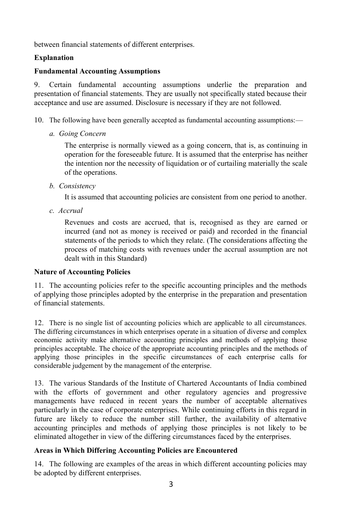between financial statements of different enterprises.

## **Explanation**

## **Fundamental Accounting Assumptions**

9. Certain fundamental accounting assumptions underlie the preparation and presentation of financial statements. They are usually not specifically stated because their acceptance and use are assumed. Disclosure is necessary if they are not followed.

- 10. The following have been generally accepted as fundamental accounting assumptions:
	- *a. Going Concern*

The enterprise is normally viewed as a going concern, that is, as continuing in operation for the foreseeable future. It is assumed that the enterprise has neither the intention nor the necessity of liquidation or of curtailing materially the scale of the operations.

*b. Consistency*

It is assumed that accounting policies are consistent from one period to another.

*c. Accrual*

Revenues and costs are accrued, that is, recognised as they are earned or incurred (and not as money is received or paid) and recorded in the financial statements of the periods to which they relate. (The considerations affecting the process of matching costs with revenues under the accrual assumption are not dealt with in this Standard)

### **Nature of Accounting Policies**

11. The accounting policies refer to the specific accounting principles and the methods of applying those principles adopted by the enterprise in the preparation and presentation of financial statements.

12. There is no single list of accounting policies which are applicable to all circumstances. The differing circumstances in which enterprises operate in a situation of diverse and complex economic activity make alternative accounting principles and methods of applying those principles acceptable. The choice of the appropriate accounting principles and the methods of applying those principles in the specific circumstances of each enterprise calls for considerable judgement by the management of the enterprise.

13. The various Standards of the Institute of Chartered Accountants of India combined with the efforts of government and other regulatory agencies and progressive managements have reduced in recent years the number of acceptable alternatives particularly in the case of corporate enterprises. While continuing efforts in this regard in future are likely to reduce the number still further, the availability of alternative accounting principles and methods of applying those principles is not likely to be eliminated altogether in view of the differing circumstances faced by the enterprises.

# **Areas in Which Differing Accounting Policies are Encountered**

14. The following are examples of the areas in which different accounting policies may be adopted by different enterprises.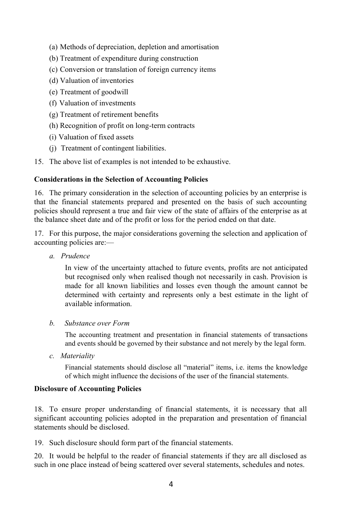- (a) Methods of depreciation, depletion and amortisation
- (b) Treatment of expenditure during construction
- (c) Conversion or translation of foreign currency items
- (d) Valuation of inventories
- (e) Treatment of goodwill
- (f) Valuation of investments
- (g) Treatment of retirement benefits
- (h) Recognition of profit on long-term contracts
- (i) Valuation of fixed assets
- (j) Treatment of contingent liabilities.
- 15. The above list of examples is not intended to be exhaustive.

### **Considerations in the Selection of Accounting Policies**

16. The primary consideration in the selection of accounting policies by an enterprise is that the financial statements prepared and presented on the basis of such accounting policies should represent a true and fair view of the state of affairs of the enterprise as at the balance sheet date and of the profit or loss for the period ended on that date.

17. For this purpose, the major considerations governing the selection and application of accounting policies are:—

*a. Prudence*

In view of the uncertainty attached to future events, profits are not anticipated but recognised only when realised though not necessarily in cash. Provision is made for all known liabilities and losses even though the amount cannot be determined with certainty and represents only a best estimate in the light of available information.

*b. Substance over Form* 

The accounting treatment and presentation in financial statements of transactions and events should be governed by their substance and not merely by the legal form.

*c. Materiality*

Financial statements should disclose all "material" items, i.e. items the knowledge of which might influence the decisions of the user of the financial statements.

### **Disclosure of Accounting Policies**

18. To ensure proper understanding of financial statements, it is necessary that all significant accounting policies adopted in the preparation and presentation of financial statements should be disclosed.

19. Such disclosure should form part of the financial statements.

20. It would be helpful to the reader of financial statements if they are all disclosed as such in one place instead of being scattered over several statements, schedules and notes.